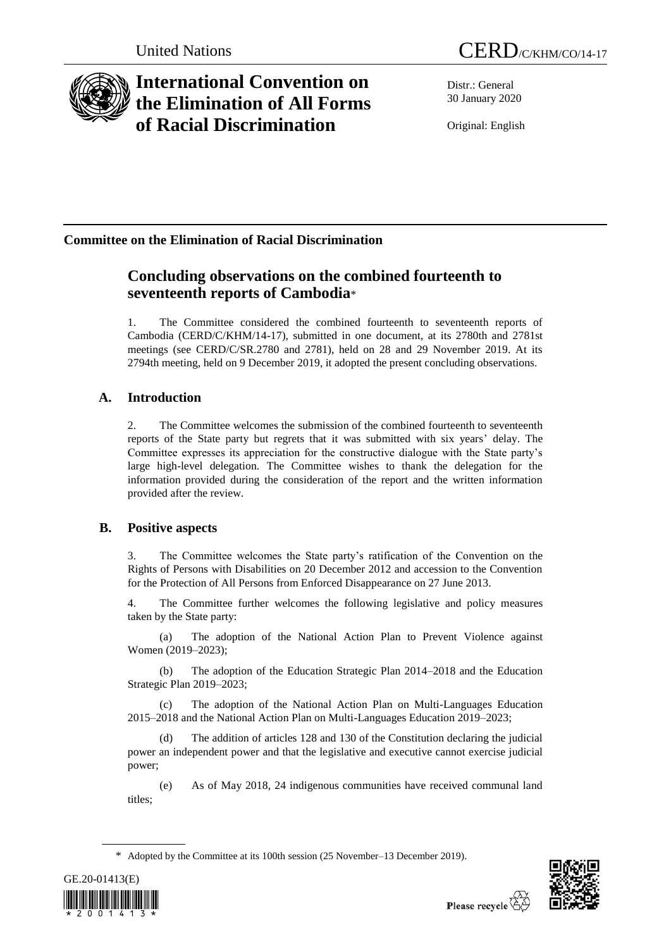

# **International Convention on the Elimination of All Forms of Racial Discrimination**

Distr.: General 30 January 2020

Original: English

## **Committee on the Elimination of Racial Discrimination**

## **Concluding observations on the combined fourteenth to seventeenth reports of Cambodia**\*

1. The Committee considered the combined fourteenth to seventeenth reports of Cambodia (CERD/C/KHM/14-17), submitted in one document, at its 2780th and 2781st meetings (see CERD/C/SR.2780 and 2781), held on 28 and 29 November 2019. At its 2794th meeting, held on 9 December 2019, it adopted the present concluding observations.

## **A. Introduction**

2. The Committee welcomes the submission of the combined fourteenth to seventeenth reports of the State party but regrets that it was submitted with six years' delay. The Committee expresses its appreciation for the constructive dialogue with the State party's large high-level delegation. The Committee wishes to thank the delegation for the information provided during the consideration of the report and the written information provided after the review.

## **B. Positive aspects**

3. The Committee welcomes the State party's ratification of the Convention on the Rights of Persons with Disabilities on 20 December 2012 and accession to the Convention for the Protection of All Persons from Enforced Disappearance on 27 June 2013.

4. The Committee further welcomes the following legislative and policy measures taken by the State party:

(a) The adoption of the National Action Plan to Prevent Violence against Women (2019–2023);

(b) The adoption of the Education Strategic Plan 2014–2018 and the Education Strategic Plan 2019–2023;

The adoption of the National Action Plan on Multi-Languages Education 2015–2018 and the National Action Plan on Multi-Languages Education 2019–2023;

(d) The addition of articles 128 and 130 of the Constitution declaring the judicial power an independent power and that the legislative and executive cannot exercise judicial power;

(e) As of May 2018, 24 indigenous communities have received communal land titles;

<sup>\*</sup> Adopted by the Committee at its 100th session (25 November–13 December 2019).



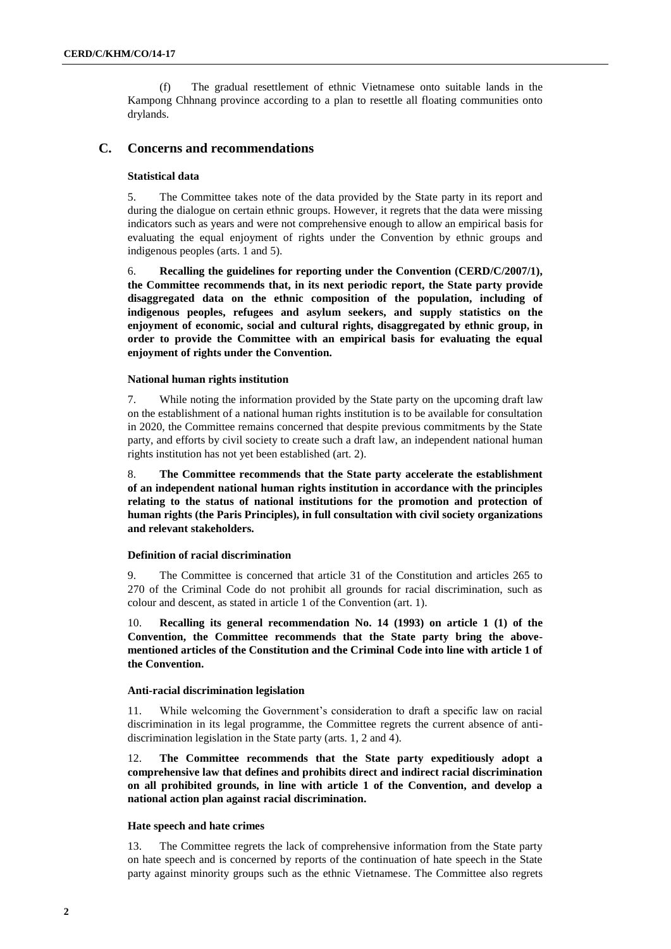(f) The gradual resettlement of ethnic Vietnamese onto suitable lands in the Kampong Chhnang province according to a plan to resettle all floating communities onto drylands.

## **C. Concerns and recommendations**

#### **Statistical data**

5. The Committee takes note of the data provided by the State party in its report and during the dialogue on certain ethnic groups. However, it regrets that the data were missing indicators such as years and were not comprehensive enough to allow an empirical basis for evaluating the equal enjoyment of rights under the Convention by ethnic groups and indigenous peoples (arts. 1 and 5).

6. **Recalling the guidelines for reporting under the Convention (CERD/C/2007/1), the Committee recommends that, in its next periodic report, the State party provide disaggregated data on the ethnic composition of the population, including of indigenous peoples, refugees and asylum seekers, and supply statistics on the enjoyment of economic, social and cultural rights, disaggregated by ethnic group, in order to provide the Committee with an empirical basis for evaluating the equal enjoyment of rights under the Convention.**

#### **National human rights institution**

7. While noting the information provided by the State party on the upcoming draft law on the establishment of a national human rights institution is to be available for consultation in 2020, the Committee remains concerned that despite previous commitments by the State party, and efforts by civil society to create such a draft law, an independent national human rights institution has not yet been established (art. 2).

8. **The Committee recommends that the State party accelerate the establishment of an independent national human rights institution in accordance with the principles relating to the status of national institutions for the promotion and protection of human rights (the Paris Principles), in full consultation with civil society organizations and relevant stakeholders.** 

#### **Definition of racial discrimination**

9. The Committee is concerned that article 31 of the Constitution and articles 265 to 270 of the Criminal Code do not prohibit all grounds for racial discrimination, such as colour and descent, as stated in article 1 of the Convention (art. 1).

Recalling its general recommendation No. 14 (1993) on article 1 (1) of the **Convention, the Committee recommends that the State party bring the abovementioned articles of the Constitution and the Criminal Code into line with article 1 of the Convention.**

#### **Anti-racial discrimination legislation**

11. While welcoming the Government's consideration to draft a specific law on racial discrimination in its legal programme, the Committee regrets the current absence of antidiscrimination legislation in the State party (arts. 1, 2 and 4).

12. **The Committee recommends that the State party expeditiously adopt a comprehensive law that defines and prohibits direct and indirect racial discrimination on all prohibited grounds, in line with article 1 of the Convention, and develop a national action plan against racial discrimination.**

## **Hate speech and hate crimes**

13. The Committee regrets the lack of comprehensive information from the State party on hate speech and is concerned by reports of the continuation of hate speech in the State party against minority groups such as the ethnic Vietnamese. The Committee also regrets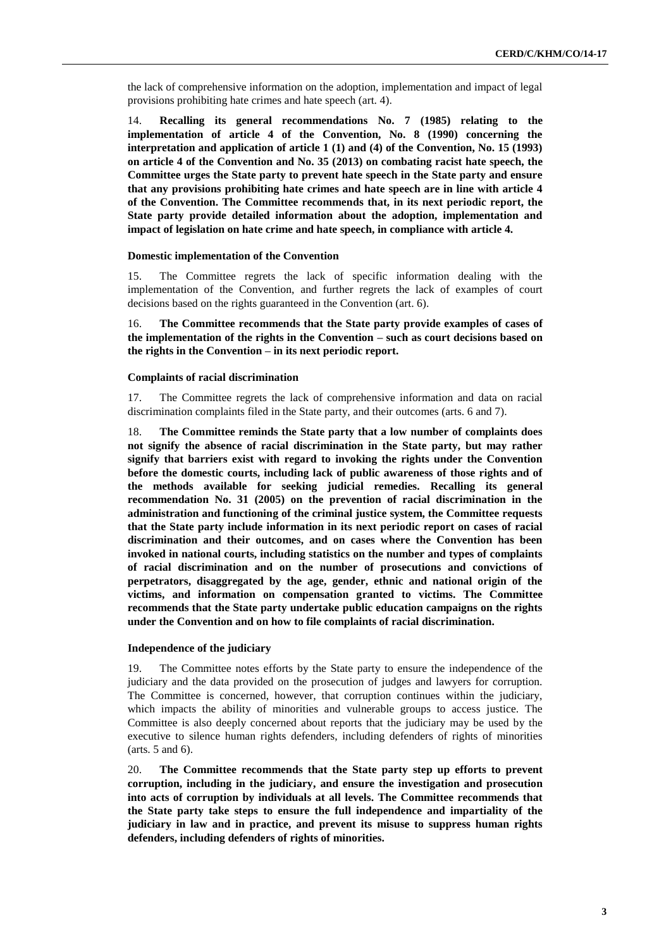the lack of comprehensive information on the adoption, implementation and impact of legal provisions prohibiting hate crimes and hate speech (art. 4).

14. **Recalling its general recommendations No. 7 (1985) relating to the implementation of article 4 of the Convention, No. 8 (1990) concerning the interpretation and application of article 1 (1) and (4) of the Convention, No. 15 (1993) on article 4 of the Convention and No. 35 (2013) on combating racist hate speech, the Committee urges the State party to prevent hate speech in the State party and ensure that any provisions prohibiting hate crimes and hate speech are in line with article 4 of the Convention. The Committee recommends that, in its next periodic report, the State party provide detailed information about the adoption, implementation and impact of legislation on hate crime and hate speech, in compliance with article 4.**

#### **Domestic implementation of the Convention**

15. The Committee regrets the lack of specific information dealing with the implementation of the Convention, and further regrets the lack of examples of court decisions based on the rights guaranteed in the Convention (art. 6).

16. **The Committee recommends that the State party provide examples of cases of the implementation of the rights in the Convention – such as court decisions based on the rights in the Convention – in its next periodic report.** 

#### **Complaints of racial discrimination**

17. The Committee regrets the lack of comprehensive information and data on racial discrimination complaints filed in the State party, and their outcomes (arts. 6 and 7).

18. **The Committee reminds the State party that a low number of complaints does not signify the absence of racial discrimination in the State party, but may rather signify that barriers exist with regard to invoking the rights under the Convention before the domestic courts, including lack of public awareness of those rights and of the methods available for seeking judicial remedies. Recalling its general recommendation No. 31 (2005) on the prevention of racial discrimination in the administration and functioning of the criminal justice system, the Committee requests that the State party include information in its next periodic report on cases of racial discrimination and their outcomes, and on cases where the Convention has been invoked in national courts, including statistics on the number and types of complaints of racial discrimination and on the number of prosecutions and convictions of perpetrators, disaggregated by the age, gender, ethnic and national origin of the victims, and information on compensation granted to victims. The Committee recommends that the State party undertake public education campaigns on the rights under the Convention and on how to file complaints of racial discrimination.** 

#### **Independence of the judiciary**

19. The Committee notes efforts by the State party to ensure the independence of the judiciary and the data provided on the prosecution of judges and lawyers for corruption. The Committee is concerned, however, that corruption continues within the judiciary, which impacts the ability of minorities and vulnerable groups to access justice. The Committee is also deeply concerned about reports that the judiciary may be used by the executive to silence human rights defenders, including defenders of rights of minorities (arts. 5 and 6).

20. **The Committee recommends that the State party step up efforts to prevent corruption, including in the judiciary, and ensure the investigation and prosecution into acts of corruption by individuals at all levels. The Committee recommends that the State party take steps to ensure the full independence and impartiality of the judiciary in law and in practice, and prevent its misuse to suppress human rights defenders, including defenders of rights of minorities.**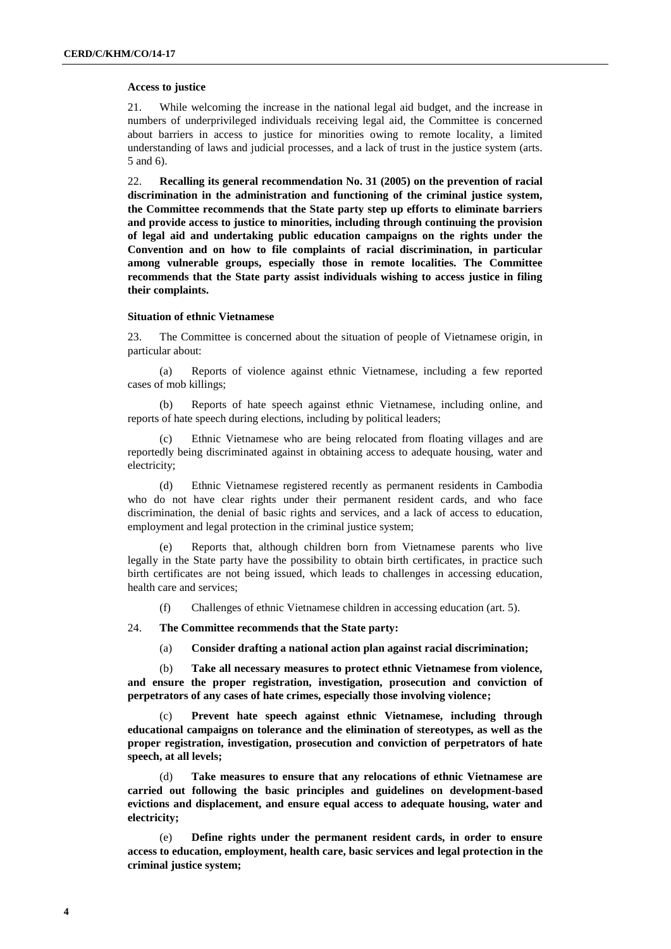#### **Access to justice**

21. While welcoming the increase in the national legal aid budget, and the increase in numbers of underprivileged individuals receiving legal aid, the Committee is concerned about barriers in access to justice for minorities owing to remote locality, a limited understanding of laws and judicial processes, and a lack of trust in the justice system (arts. 5 and 6).

22. **Recalling its general recommendation No. 31 (2005) on the prevention of racial discrimination in the administration and functioning of the criminal justice system, the Committee recommends that the State party step up efforts to eliminate barriers and provide access to justice to minorities, including through continuing the provision of legal aid and undertaking public education campaigns on the rights under the Convention and on how to file complaints of racial discrimination, in particular among vulnerable groups, especially those in remote localities. The Committee recommends that the State party assist individuals wishing to access justice in filing their complaints.**

## **Situation of ethnic Vietnamese**

23. The Committee is concerned about the situation of people of Vietnamese origin, in particular about:

(a) Reports of violence against ethnic Vietnamese, including a few reported cases of mob killings;

(b) Reports of hate speech against ethnic Vietnamese, including online, and reports of hate speech during elections, including by political leaders;

(c) Ethnic Vietnamese who are being relocated from floating villages and are reportedly being discriminated against in obtaining access to adequate housing, water and electricity;

(d) Ethnic Vietnamese registered recently as permanent residents in Cambodia who do not have clear rights under their permanent resident cards, and who face discrimination, the denial of basic rights and services, and a lack of access to education, employment and legal protection in the criminal justice system;

(e) Reports that, although children born from Vietnamese parents who live legally in the State party have the possibility to obtain birth certificates, in practice such birth certificates are not being issued, which leads to challenges in accessing education, health care and services;

(f) Challenges of ethnic Vietnamese children in accessing education (art. 5).

24. **The Committee recommends that the State party:**

(a) **Consider drafting a national action plan against racial discrimination;**

(b) **Take all necessary measures to protect ethnic Vietnamese from violence, and ensure the proper registration, investigation, prosecution and conviction of perpetrators of any cases of hate crimes, especially those involving violence;**

(c) **Prevent hate speech against ethnic Vietnamese, including through educational campaigns on tolerance and the elimination of stereotypes, as well as the proper registration, investigation, prosecution and conviction of perpetrators of hate speech, at all levels;**

(d) **Take measures to ensure that any relocations of ethnic Vietnamese are carried out following the basic principles and guidelines on development-based evictions and displacement, and ensure equal access to adequate housing, water and electricity;**

(e) **Define rights under the permanent resident cards, in order to ensure access to education, employment, health care, basic services and legal protection in the criminal justice system;**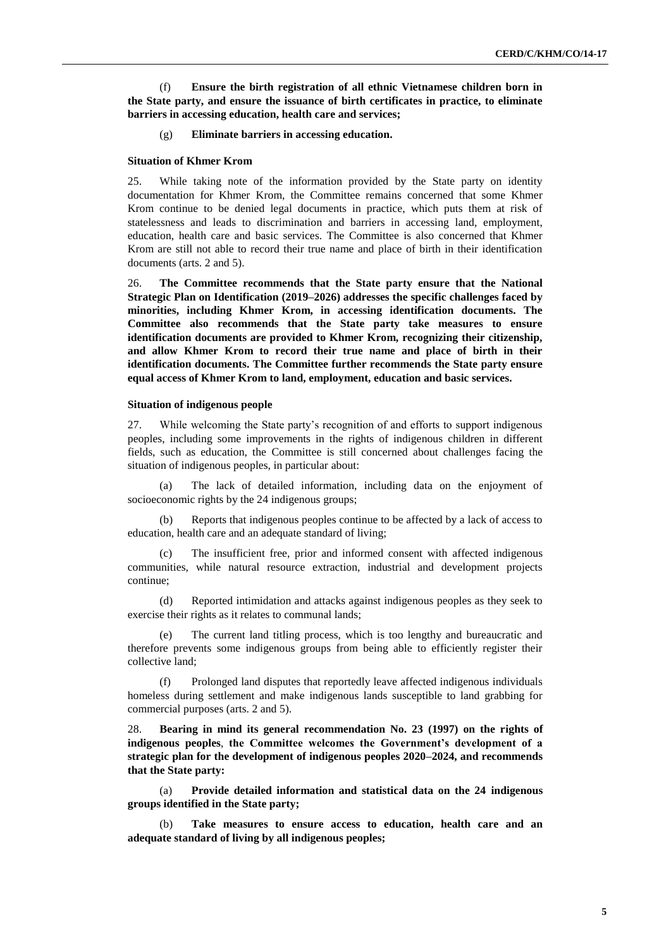(f) **Ensure the birth registration of all ethnic Vietnamese children born in the State party, and ensure the issuance of birth certificates in practice, to eliminate barriers in accessing education, health care and services;**

## (g) **Eliminate barriers in accessing education.**

#### **Situation of Khmer Krom**

25. While taking note of the information provided by the State party on identity documentation for Khmer Krom, the Committee remains concerned that some Khmer Krom continue to be denied legal documents in practice, which puts them at risk of statelessness and leads to discrimination and barriers in accessing land, employment, education, health care and basic services. The Committee is also concerned that Khmer Krom are still not able to record their true name and place of birth in their identification documents (arts. 2 and 5).

26. **The Committee recommends that the State party ensure that the National Strategic Plan on Identification (2019–2026) addresses the specific challenges faced by minorities, including Khmer Krom, in accessing identification documents. The Committee also recommends that the State party take measures to ensure identification documents are provided to Khmer Krom, recognizing their citizenship, and allow Khmer Krom to record their true name and place of birth in their identification documents. The Committee further recommends the State party ensure equal access of Khmer Krom to land, employment, education and basic services.** 

#### **Situation of indigenous people**

27. While welcoming the State party's recognition of and efforts to support indigenous peoples, including some improvements in the rights of indigenous children in different fields, such as education, the Committee is still concerned about challenges facing the situation of indigenous peoples, in particular about:

(a) The lack of detailed information, including data on the enjoyment of socioeconomic rights by the 24 indigenous groups;

(b) Reports that indigenous peoples continue to be affected by a lack of access to education, health care and an adequate standard of living;

The insufficient free, prior and informed consent with affected indigenous communities, while natural resource extraction, industrial and development projects continue;

(d) Reported intimidation and attacks against indigenous peoples as they seek to exercise their rights as it relates to communal lands;

The current land titling process, which is too lengthy and bureaucratic and therefore prevents some indigenous groups from being able to efficiently register their collective land;

Prolonged land disputes that reportedly leave affected indigenous individuals homeless during settlement and make indigenous lands susceptible to land grabbing for commercial purposes (arts. 2 and 5).

28. **Bearing in mind its general recommendation No. 23 (1997) on the rights of indigenous peoples**, **the Committee welcomes the Government's development of a strategic plan for the development of indigenous peoples 2020–2024, and recommends that the State party:** 

(a) **Provide detailed information and statistical data on the 24 indigenous groups identified in the State party;**

(b) **Take measures to ensure access to education, health care and an adequate standard of living by all indigenous peoples;**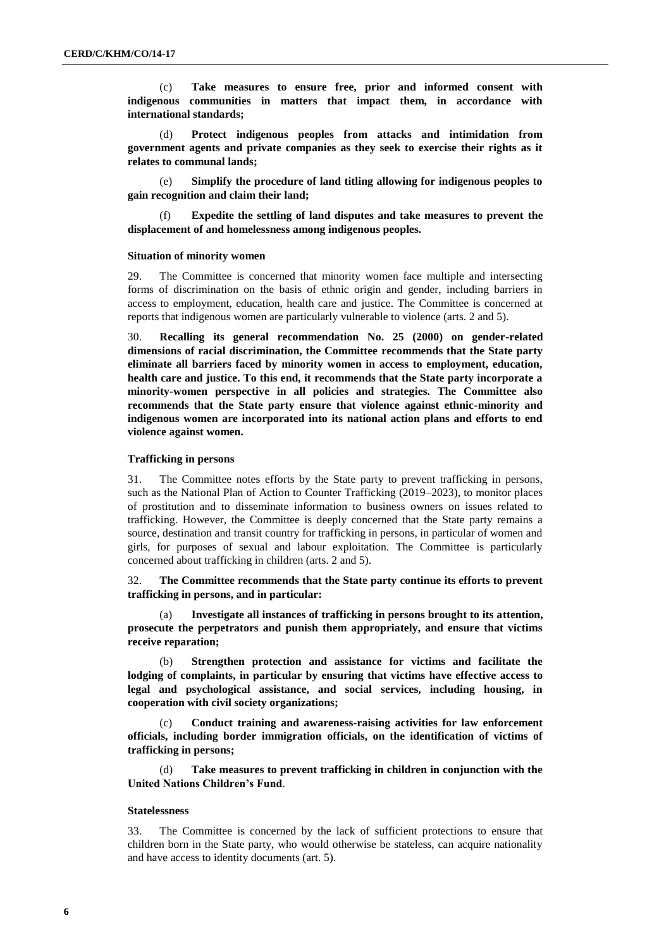(c) **Take measures to ensure free, prior and informed consent with indigenous communities in matters that impact them, in accordance with international standards;**

(d) **Protect indigenous peoples from attacks and intimidation from government agents and private companies as they seek to exercise their rights as it relates to communal lands;**

(e) **Simplify the procedure of land titling allowing for indigenous peoples to gain recognition and claim their land;** 

(f) **Expedite the settling of land disputes and take measures to prevent the displacement of and homelessness among indigenous peoples.**

#### **Situation of minority women**

29. The Committee is concerned that minority women face multiple and intersecting forms of discrimination on the basis of ethnic origin and gender, including barriers in access to employment, education, health care and justice. The Committee is concerned at reports that indigenous women are particularly vulnerable to violence (arts. 2 and 5).

30. **Recalling its general recommendation No. 25 (2000) on gender-related dimensions of racial discrimination, the Committee recommends that the State party eliminate all barriers faced by minority women in access to employment, education, health care and justice. To this end, it recommends that the State party incorporate a minority-women perspective in all policies and strategies. The Committee also recommends that the State party ensure that violence against ethnic-minority and indigenous women are incorporated into its national action plans and efforts to end violence against women.** 

#### **Trafficking in persons**

31. The Committee notes efforts by the State party to prevent trafficking in persons, such as the National Plan of Action to Counter Trafficking (2019–2023), to monitor places of prostitution and to disseminate information to business owners on issues related to trafficking. However, the Committee is deeply concerned that the State party remains a source, destination and transit country for trafficking in persons, in particular of women and girls, for purposes of sexual and labour exploitation. The Committee is particularly concerned about trafficking in children (arts. 2 and 5).

32. **The Committee recommends that the State party continue its efforts to prevent trafficking in persons, and in particular:**

(a) **Investigate all instances of trafficking in persons brought to its attention, prosecute the perpetrators and punish them appropriately, and ensure that victims receive reparation;**

(b) **Strengthen protection and assistance for victims and facilitate the lodging of complaints, in particular by ensuring that victims have effective access to legal and psychological assistance, and social services, including housing, in cooperation with civil society organizations;**

(c) **Conduct training and awareness-raising activities for law enforcement officials, including border immigration officials, on the identification of victims of trafficking in persons;**

(d) **Take measures to prevent trafficking in children in conjunction with the United Nations Children's Fund**.

#### **Statelessness**

33. The Committee is concerned by the lack of sufficient protections to ensure that children born in the State party, who would otherwise be stateless, can acquire nationality and have access to identity documents (art. 5).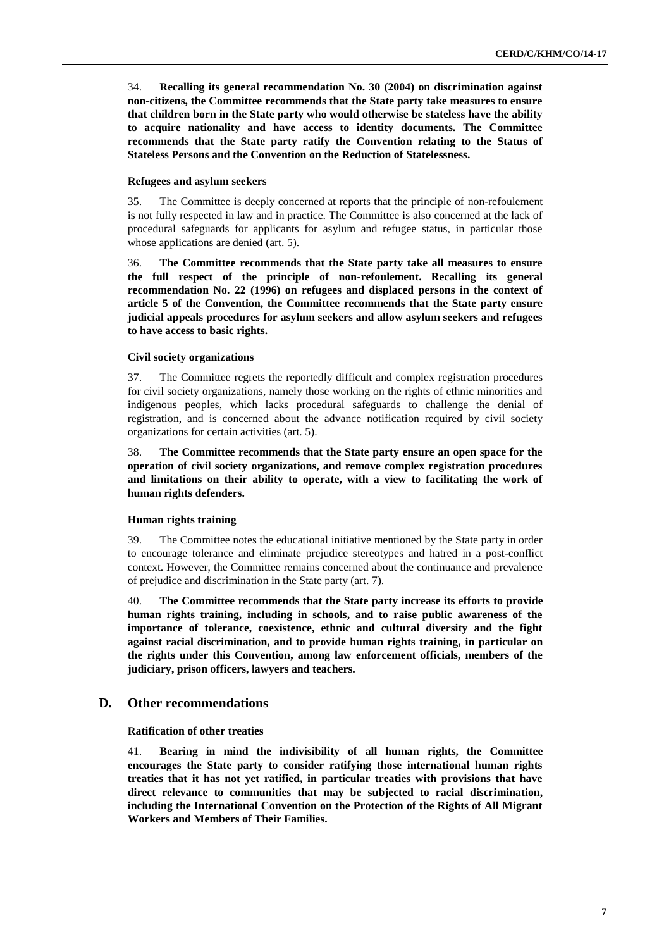34. **Recalling its general recommendation No. 30 (2004) on discrimination against non-citizens, the Committee recommends that the State party take measures to ensure that children born in the State party who would otherwise be stateless have the ability to acquire nationality and have access to identity documents. The Committee recommends that the State party ratify the Convention relating to the Status of Stateless Persons and the Convention on the Reduction of Statelessness.**

## **Refugees and asylum seekers**

35. The Committee is deeply concerned at reports that the principle of non-refoulement is not fully respected in law and in practice. The Committee is also concerned at the lack of procedural safeguards for applicants for asylum and refugee status, in particular those whose applications are denied (art. 5).

36. **The Committee recommends that the State party take all measures to ensure the full respect of the principle of non-refoulement. Recalling its general recommendation No. 22 (1996) on refugees and displaced persons in the context of article 5 of the Convention, the Committee recommends that the State party ensure judicial appeals procedures for asylum seekers and allow asylum seekers and refugees to have access to basic rights.** 

## **Civil society organizations**

37. The Committee regrets the reportedly difficult and complex registration procedures for civil society organizations, namely those working on the rights of ethnic minorities and indigenous peoples, which lacks procedural safeguards to challenge the denial of registration, and is concerned about the advance notification required by civil society organizations for certain activities (art. 5).

38. **The Committee recommends that the State party ensure an open space for the operation of civil society organizations, and remove complex registration procedures and limitations on their ability to operate, with a view to facilitating the work of human rights defenders.**

## **Human rights training**

39. The Committee notes the educational initiative mentioned by the State party in order to encourage tolerance and eliminate prejudice stereotypes and hatred in a post-conflict context. However, the Committee remains concerned about the continuance and prevalence of prejudice and discrimination in the State party (art. 7).

40. **The Committee recommends that the State party increase its efforts to provide human rights training, including in schools, and to raise public awareness of the importance of tolerance, coexistence, ethnic and cultural diversity and the fight against racial discrimination, and to provide human rights training, in particular on the rights under this Convention, among law enforcement officials, members of the judiciary, prison officers, lawyers and teachers.** 

## **D. Other recommendations**

## **Ratification of other treaties**

41. **Bearing in mind the indivisibility of all human rights, the Committee encourages the State party to consider ratifying those international human rights treaties that it has not yet ratified, in particular treaties with provisions that have direct relevance to communities that may be subjected to racial discrimination, including the International Convention on the Protection of the Rights of All Migrant Workers and Members of Their Families.**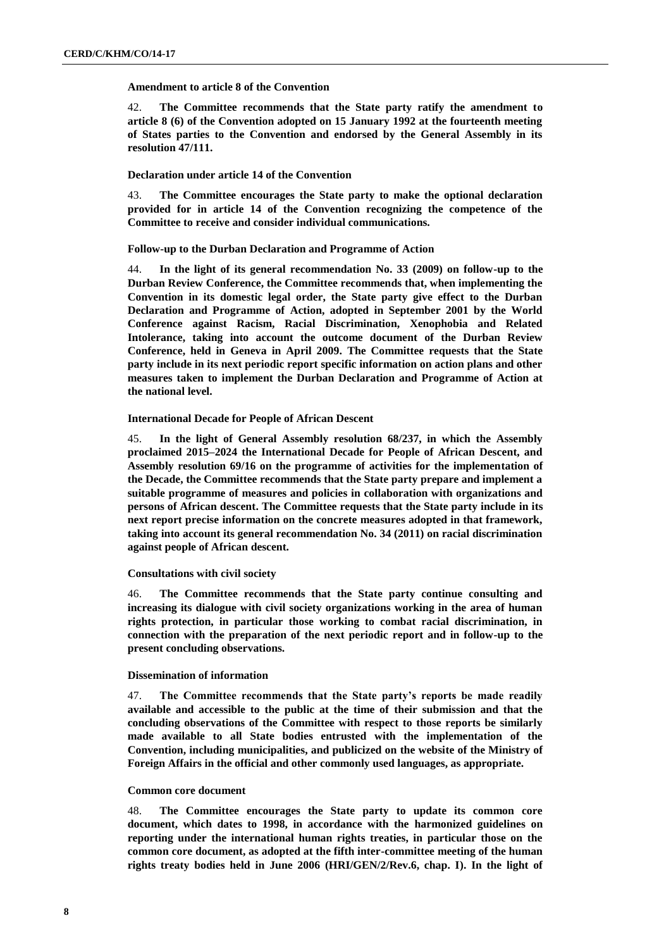#### **Amendment to article 8 of the Convention**

42. **The Committee recommends that the State party ratify the amendment to article 8 (6) of the Convention adopted on 15 January 1992 at the fourteenth meeting of States parties to the Convention and endorsed by the General Assembly in its resolution 47/111.**

## **Declaration under article 14 of the Convention**

43. **The Committee encourages the State party to make the optional declaration provided for in article 14 of the Convention recognizing the competence of the Committee to receive and consider individual communications.**

## **Follow-up to the Durban Declaration and Programme of Action**

44. **In the light of its general recommendation No. 33 (2009) on follow-up to the Durban Review Conference, the Committee recommends that, when implementing the Convention in its domestic legal order, the State party give effect to the Durban Declaration and Programme of Action, adopted in September 2001 by the World Conference against Racism, Racial Discrimination, Xenophobia and Related Intolerance, taking into account the outcome document of the Durban Review Conference, held in Geneva in April 2009. The Committee requests that the State party include in its next periodic report specific information on action plans and other measures taken to implement the Durban Declaration and Programme of Action at the national level.**

## **International Decade for People of African Descent**

45. **In the light of General Assembly resolution 68/237, in which the Assembly proclaimed 2015–2024 the International Decade for People of African Descent, and Assembly resolution 69/16 on the programme of activities for the implementation of the Decade, the Committee recommends that the State party prepare and implement a suitable programme of measures and policies in collaboration with organizations and persons of African descent. The Committee requests that the State party include in its next report precise information on the concrete measures adopted in that framework, taking into account its general recommendation No. 34 (2011) on racial discrimination against people of African descent.**

## **Consultations with civil society**

46. **The Committee recommends that the State party continue consulting and increasing its dialogue with civil society organizations working in the area of human rights protection, in particular those working to combat racial discrimination, in connection with the preparation of the next periodic report and in follow-up to the present concluding observations.**

## **Dissemination of information**

47. **The Committee recommends that the State party's reports be made readily available and accessible to the public at the time of their submission and that the concluding observations of the Committee with respect to those reports be similarly made available to all State bodies entrusted with the implementation of the Convention, including municipalities, and publicized on the website of the Ministry of Foreign Affairs in the official and other commonly used languages, as appropriate.**

## **Common core document**

48. **The Committee encourages the State party to update its common core document, which dates to 1998, in accordance with the harmonized guidelines on reporting under the international human rights treaties, in particular those on the common core document, as adopted at the fifth inter-committee meeting of the human rights treaty bodies held in June 2006 (HRI/GEN/2/Rev.6, chap. I). In the light of**